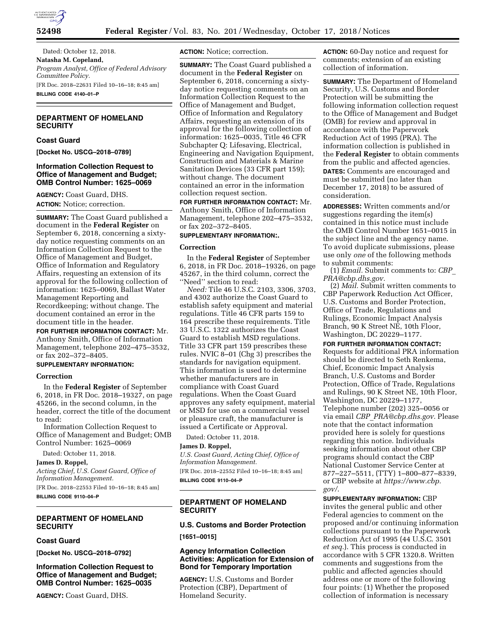

Dated: October 12, 2018. **Natasha M. Copeland,**  *Program Analyst, Office of Federal Advisory Committee Policy.*  [FR Doc. 2018–22631 Filed 10–16–18; 8:45 am] **BILLING CODE 4140–01–P** 

## **DEPARTMENT OF HOMELAND SECURITY**

### **Coast Guard**

**[Docket No. USCG–2018–0789]** 

### **Information Collection Request to Office of Management and Budget; OMB Control Number: 1625–0069**

**AGENCY:** Coast Guard, DHS. **ACTION:** Notice; correction.

**SUMMARY:** The Coast Guard published a document in the **Federal Register** on September 6, 2018, concerning a sixtyday notice requesting comments on an Information Collection Request to the Office of Management and Budget, Office of Information and Regulatory Affairs, requesting an extension of its approval for the following collection of information: 1625–0069, Ballast Water Management Reporting and Recordkeeping; without change. The document contained an error in the document title in the header.

**FOR FURTHER INFORMATION CONTACT:** Mr. Anthony Smith, Office of Information Management, telephone 202–475–3532, or fax 202–372–8405.

# **SUPPLEMENTARY INFORMATION:**

#### **Correction**

In the **Federal Register** of September 6, 2018, in FR Doc. 2018–19327, on page 45266, in the second column, in the header, correct the title of the document to read:

Information Collection Request to Office of Management and Budget; OMB Control Number: 1625–0069

Dated: October 11, 2018.

**James D. Roppel,** 

*Acting Chief, U.S. Coast Guard, Office of Information Management.*  [FR Doc. 2018–22553 Filed 10–16–18; 8:45 am]

**BILLING CODE 9110–04–P** 

## **DEPARTMENT OF HOMELAND SECURITY**

### **Coast Guard**

**[Docket No. USCG–2018–0792]** 

**Information Collection Request to Office of Management and Budget; OMB Control Number: 1625–0035** 

**AGENCY:** Coast Guard, DHS.

**ACTION:** Notice; correction.

**SUMMARY:** The Coast Guard published a document in the **Federal Register** on September 6, 2018, concerning a sixtyday notice requesting comments on an Information Collection Request to the Office of Management and Budget, Office of Information and Regulatory Affairs, requesting an extension of its approval for the following collection of information: 1625–0035, Title 46 CFR Subchapter Q: Lifesaving, Electrical, Engineering and Navigation Equipment, Construction and Materials & Marine Sanitation Devices (33 CFR part 159); without change. The document contained an error in the information collection request section.

**FOR FURTHER INFORMATION CONTACT:** Mr. Anthony Smith, Office of Information Management, telephone 202–475–3532, or fax 202–372–8405.

# **SUPPLEMENTARY INFORMATION:.**

#### **Correction**

In the **Federal Register** of September 6, 2018, in FR Doc. 2018–19326, on page 45267, in the third column, correct the ''Need'' section to read:

*Need:* Tile 46 U.S.C. 2103, 3306, 3703, and 4302 authorize the Coast Guard to establish safety equipment and material regulations. Title 46 CFR parts 159 to 164 prescribe these requirements. Title 33 U.S.C. 1322 authorizes the Coast Guard to establish MSD regulations. Title 33 CFR part 159 prescribes these rules. NVIC 8–01 (Chg 3) prescribes the standards for navigation equipment. This information is used to determine whether manufacturers are in compliance with Coast Guard regulations. When the Coast Guard approves any safety equipment, material or MSD for use on a commercial vessel or pleasure craft, the manufacturer is issued a Certificate or Approval.

Dated: October 11, 2018.

#### **James D. Roppel,**

*U.S. Coast Guard, Acting Chief, Office of Information Management.* 

[FR Doc. 2018–22552 Filed 10–16–18; 8:45 am] **BILLING CODE 9110–04–P** 

## **DEPARTMENT OF HOMELAND SECURITY**

### **U.S. Customs and Border Protection**

**[1651–0015]** 

## **Agency Information Collection Activities: Application for Extension of Bond for Temporary Importation**

**AGENCY:** U.S. Customs and Border Protection (CBP), Department of Homeland Security.

**ACTION:** 60-Day notice and request for comments; extension of an existing collection of information.

**SUMMARY:** The Department of Homeland Security, U.S. Customs and Border Protection will be submitting the following information collection request to the Office of Management and Budget (OMB) for review and approval in accordance with the Paperwork Reduction Act of 1995 (PRA). The information collection is published in the **Federal Register** to obtain comments from the public and affected agencies. **DATES:** Comments are encouraged and must be submitted (no later than December 17, 2018) to be assured of consideration.

**ADDRESSES:** Written comments and/or suggestions regarding the item(s) contained in this notice must include the OMB Control Number 1651–0015 in the subject line and the agency name. To avoid duplicate submissions, please use only *one* of the following methods to submit comments:

(1) *Email.* Submit comments to: *[CBP](mailto:CBP_PRA@cbp.dhs.gov)*\_ *[PRA@cbp.dhs.gov.](mailto:CBP_PRA@cbp.dhs.gov)* 

(2) *Mail.* Submit written comments to CBP Paperwork Reduction Act Officer, U.S. Customs and Border Protection, Office of Trade, Regulations and Rulings, Economic Impact Analysis Branch, 90 K Street NE, 10th Floor, Washington, DC 20229–1177.

**FOR FURTHER INFORMATION CONTACT:**  Requests for additional PRA information should be directed to Seth Renkema, Chief, Economic Impact Analysis Branch, U.S. Customs and Border Protection, Office of Trade, Regulations and Rulings, 90 K Street NE, 10th Floor, Washington, DC 20229–1177, Telephone number (202) 325–0056 or via email *CBP*\_*[PRA@cbp.dhs.gov.](mailto:CBP_PRA@cbp.dhs.gov)* Please note that the contact information provided here is solely for questions regarding this notice. Individuals seeking information about other CBP programs should contact the CBP National Customer Service Center at 877–227–5511, (TTY) 1–800–877–8339, or CBP website at *[https://www.cbp.](https://www.cbp.gov/)  [gov/](https://www.cbp.gov/)*.

**SUPPLEMENTARY INFORMATION:** CBP invites the general public and other Federal agencies to comment on the proposed and/or continuing information collections pursuant to the Paperwork Reduction Act of 1995 (44 U.S.C. 3501 *et seq.*). This process is conducted in accordance with 5 CFR 1320.8. Written comments and suggestions from the public and affected agencies should address one or more of the following four points: (1) Whether the proposed collection of information is necessary